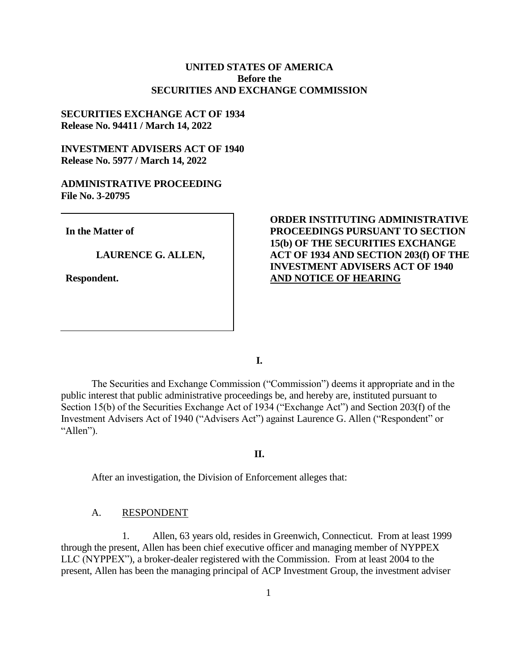# **UNITED STATES OF AMERICA Before the SECURITIES AND EXCHANGE COMMISSION**

## **SECURITIES EXCHANGE ACT OF 1934 Release No. 94411 / March 14, 2022**

# **INVESTMENT ADVISERS ACT OF 1940 Release No. 5977 / March 14, 2022**

## **ADMINISTRATIVE PROCEEDING File No. 3-20795**

**In the Matter of**

**LAURENCE G. ALLEN,** 

**Respondent.**

# **ORDER INSTITUTING ADMINISTRATIVE PROCEEDINGS PURSUANT TO SECTION 15(b) OF THE SECURITIES EXCHANGE ACT OF 1934 AND SECTION 203(f) OF THE INVESTMENT ADVISERS ACT OF 1940 AND NOTICE OF HEARING**

**I.**

The Securities and Exchange Commission ("Commission") deems it appropriate and in the public interest that public administrative proceedings be, and hereby are, instituted pursuant to Section 15(b) of the Securities Exchange Act of 1934 ("Exchange Act") and Section 203(f) of the Investment Advisers Act of 1940 ("Advisers Act") against Laurence G. Allen ("Respondent" or "Allen").

#### **II.**

After an investigation, the Division of Enforcement alleges that:

## A. RESPONDENT

1. Allen, 63 years old, resides in Greenwich, Connecticut. From at least 1999 through the present, Allen has been chief executive officer and managing member of NYPPEX LLC (NYPPEX"), a broker-dealer registered with the Commission. From at least 2004 to the present, Allen has been the managing principal of ACP Investment Group, the investment adviser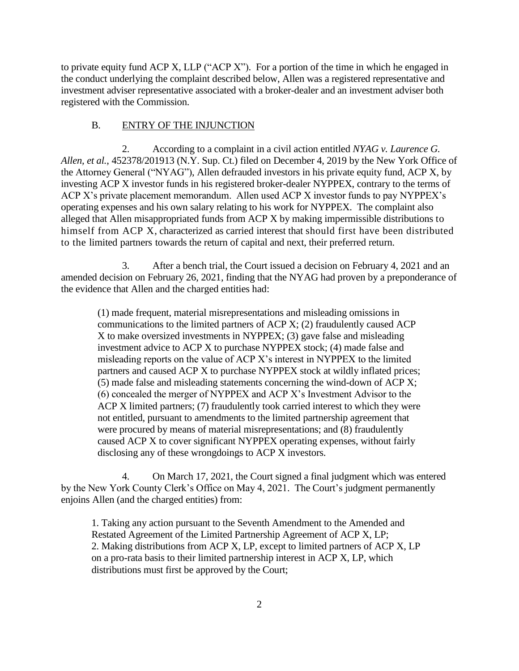to private equity fund ACP X, LLP ("ACP X"). For a portion of the time in which he engaged in the conduct underlying the complaint described below, Allen was a registered representative and investment adviser representative associated with a broker-dealer and an investment adviser both registered with the Commission.

# B. ENTRY OF THE INJUNCTION

2. According to a complaint in a civil action entitled *NYAG v. Laurence G. Allen, et al.*, 452378/201913 (N.Y. Sup. Ct.) filed on December 4, 2019 by the New York Office of the Attorney General ("NYAG"), Allen defrauded investors in his private equity fund, ACP X, by investing ACP X investor funds in his registered broker-dealer NYPPEX, contrary to the terms of ACP X's private placement memorandum. Allen used ACP X investor funds to pay NYPPEX's operating expenses and his own salary relating to his work for NYPPEX. The complaint also alleged that Allen misappropriated funds from ACP X by making impermissible distributions to himself from ACP X, characterized as carried interest that should first have been distributed to the limited partners towards the return of capital and next, their preferred return.

3. After a bench trial, the Court issued a decision on February 4, 2021 and an amended decision on February 26, 2021, finding that the NYAG had proven by a preponderance of the evidence that Allen and the charged entities had:

(1) made frequent, material misrepresentations and misleading omissions in communications to the limited partners of ACP X; (2) fraudulently caused ACP X to make oversized investments in NYPPEX; (3) gave false and misleading investment advice to ACP X to purchase NYPPEX stock; (4) made false and misleading reports on the value of ACP X's interest in NYPPEX to the limited partners and caused ACP X to purchase NYPPEX stock at wildly inflated prices; (5) made false and misleading statements concerning the wind-down of ACP X; (6) concealed the merger of NYPPEX and ACP X's Investment Advisor to the ACP X limited partners; (7) fraudulently took carried interest to which they were not entitled, pursuant to amendments to the limited partnership agreement that were procured by means of material misrepresentations; and (8) fraudulently caused ACP X to cover significant NYPPEX operating expenses, without fairly disclosing any of these wrongdoings to ACP X investors.

4. On March 17, 2021, the Court signed a final judgment which was entered by the New York County Clerk's Office on May 4, 2021. The Court's judgment permanently enjoins Allen (and the charged entities) from:

1. Taking any action pursuant to the Seventh Amendment to the Amended and Restated Agreement of the Limited Partnership Agreement of ACP X, LP; 2. Making distributions from ACP X, LP, except to limited partners of ACP X, LP on a pro-rata basis to their limited partnership interest in ACP X, LP, which distributions must first be approved by the Court;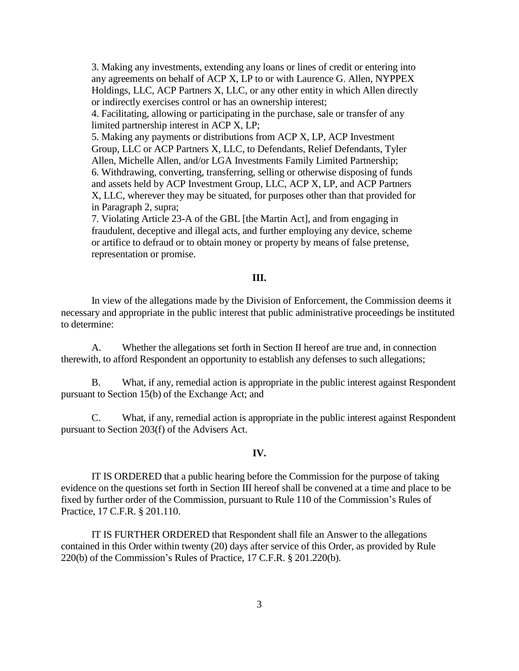3. Making any investments, extending any loans or lines of credit or entering into any agreements on behalf of ACP X, LP to or with Laurence G. Allen, NYPPEX Holdings, LLC, ACP Partners X, LLC, or any other entity in which Allen directly or indirectly exercises control or has an ownership interest;

4. Facilitating, allowing or participating in the purchase, sale or transfer of any limited partnership interest in ACP X, LP;

5. Making any payments or distributions from ACP X, LP, ACP Investment Group, LLC or ACP Partners X, LLC, to Defendants, Relief Defendants, Tyler Allen, Michelle Allen, and/or LGA Investments Family Limited Partnership; 6. Withdrawing, converting, transferring, selling or otherwise disposing of funds and assets held by ACP Investment Group, LLC, ACP X, LP, and ACP Partners X, LLC, wherever they may be situated, for purposes other than that provided for in Paragraph 2, supra;

7. Violating Article 23-A of the GBL [the Martin Act], and from engaging in fraudulent, deceptive and illegal acts, and further employing any device, scheme or artifice to defraud or to obtain money or property by means of false pretense, representation or promise.

# **III.**

In view of the allegations made by the Division of Enforcement, the Commission deems it necessary and appropriate in the public interest that public administrative proceedings be instituted to determine:

A. Whether the allegations set forth in Section II hereof are true and, in connection therewith, to afford Respondent an opportunity to establish any defenses to such allegations;

B. What, if any, remedial action is appropriate in the public interest against Respondent pursuant to Section 15(b) of the Exchange Act; and

C. What, if any, remedial action is appropriate in the public interest against Respondent pursuant to Section 203(f) of the Advisers Act.

### **IV.**

IT IS ORDERED that a public hearing before the Commission for the purpose of taking evidence on the questions set forth in Section III hereof shall be convened at a time and place to be fixed by further order of the Commission, pursuant to Rule 110 of the Commission's Rules of Practice, 17 C.F.R. § 201.110.

IT IS FURTHER ORDERED that Respondent shall file an Answer to the allegations contained in this Order within twenty (20) days after service of this Order, as provided by Rule 220(b) of the Commission's Rules of Practice, 17 C.F.R. § 201.220(b).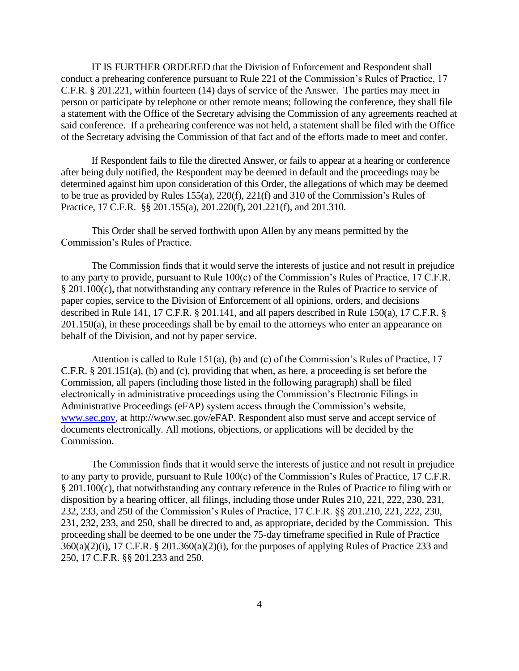IT IS FURTHER ORDERED that the Division of Enforcement and Respondent shall conduct a prehearing conference pursuant to Rule 221 of the Commission's Rules of Practice, 17 C.F.R. § 201.221, within fourteen (14) days of service of the Answer. The parties may meet in person or participate by telephone or other remote means; following the conference, they shall file a statement with the Office of the Secretary advising the Commission of any agreements reached at said conference. If a prehearing conference was not held, a statement shall be filed with the Office of the Secretary advising the Commission of that fact and of the efforts made to meet and confer.

If Respondent fails to file the directed Answer, or fails to appear at a hearing or conference after being duly notified, the Respondent may be deemed in default and the proceedings may be determined against him upon consideration of this Order, the allegations of which may be deemed to be true as provided by Rules 155(a), 220(f), 221(f) and 310 of the Commission's Rules of Practice, 17 C.F.R. §§ 201.155(a), 201.220(f), 201.221(f), and 201.310.

This Order shall be served forthwith upon Allen by any means permitted by the Commission's Rules of Practice.

The Commission finds that it would serve the interests of justice and not result in prejudice to any party to provide, pursuant to Rule 100(c) of the Commission's Rules of Practice, 17 C.F.R. § 201.100(c), that notwithstanding any contrary reference in the Rules of Practice to service of paper copies, service to the Division of Enforcement of all opinions, orders, and decisions described in Rule 141, 17 C.F.R. § 201.141, and all papers described in Rule 150(a), 17 C.F.R. § 201.150(a), in these proceedings shall be by email to the attorneys who enter an appearance on behalf of the Division, and not by paper service.

Attention is called to Rule 151(a), (b) and (c) of the Commission's Rules of Practice, 17 C.F.R. § 201.151(a), (b) and (c), providing that when, as here, a proceeding is set before the Commission, all papers (including those listed in the following paragraph) shall be filed electronically in administrative proceedings using the Commission's Electronic Filings in Administrative Proceedings (eFAP) system access through the Commission's website, [www.sec.gov,](http://www.sec.gov/) at http://www.sec.gov/eFAP. Respondent also must serve and accept service of documents electronically. All motions, objections, or applications will be decided by the Commission.

The Commission finds that it would serve the interests of justice and not result in prejudice to any party to provide, pursuant to Rule 100(c) of the Commission's Rules of Practice, 17 C.F.R. § 201.100(c), that notwithstanding any contrary reference in the Rules of Practice to filing with or disposition by a hearing officer, all filings, including those under Rules 210, 221, 222, 230, 231, 232, 233, and 250 of the Commission's Rules of Practice, 17 C.F.R. §§ 201.210, 221, 222, 230, 231, 232, 233, and 250, shall be directed to and, as appropriate, decided by the Commission. This proceeding shall be deemed to be one under the 75-day timeframe specified in Rule of Practice  $360(a)(2)(i)$ , 17 C.F.R. § 201.360(a)(2)(i), for the purposes of applying Rules of Practice 233 and 250, 17 C.F.R. §§ 201.233 and 250.